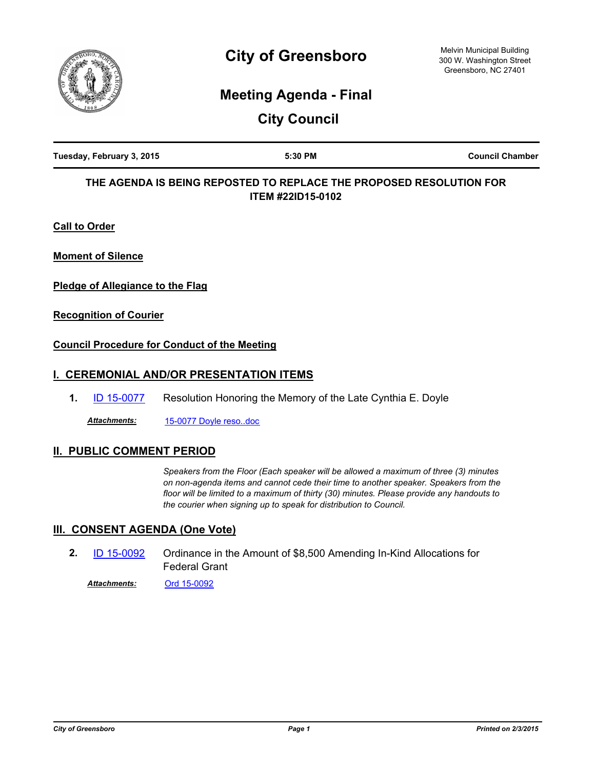

# **City of Greensboro**

Melvin Municipal Building 300 W. Washington Street Greensboro, NC 27401

## **Meeting Agenda - Final**

**City Council**

| Tuesday, February 3, 2015 | 5:30 PM | <b>Council Chamber</b> |
|---------------------------|---------|------------------------|
|                           |         |                        |

## **THE AGENDA IS BEING REPOSTED TO REPLACE THE PROPOSED RESOLUTION FOR ITEM #22ID15-0102**

**Call to Order**

**Moment of Silence**

**Pledge of Allegiance to the Flag**

**Recognition of Courier**

#### **Council Procedure for Conduct of the Meeting**

## **I. CEREMONIAL AND/OR PRESENTATION ITEMS**

**1.** [ID 15-0077](http://greensboro.legistar.com/gateway.aspx?m=l&id=/matter.aspx?key=1978) Resolution Honoring the Memory of the Late Cynthia E. Doyle

*Attachments:* [15-0077 Doyle reso..doc](http://greensboro.legistar.com/gateway.aspx?M=F&ID=a5ef4464-3afc-4b6b-90ff-51c2df320df5.doc)

## **II. PUBLIC COMMENT PERIOD**

*Speakers from the Floor (Each speaker will be allowed a maximum of three (3) minutes on non-agenda items and cannot cede their time to another speaker. Speakers from the floor will be limited to a maximum of thirty (30) minutes. Please provide any handouts to the courier when signing up to speak for distribution to Council.*

#### **III. CONSENT AGENDA (One Vote)**

- Ordinance in the Amount of \$8,500 Amending In-Kind Allocations for Federal Grant **2.** [ID 15-0092](http://greensboro.legistar.com/gateway.aspx?m=l&id=/matter.aspx?key=1993)
	- *Attachments:* [Ord 15-0092](http://greensboro.legistar.com/gateway.aspx?M=F&ID=82c1ac6c-fad9-46af-8a70-1e501d388ba2.docx)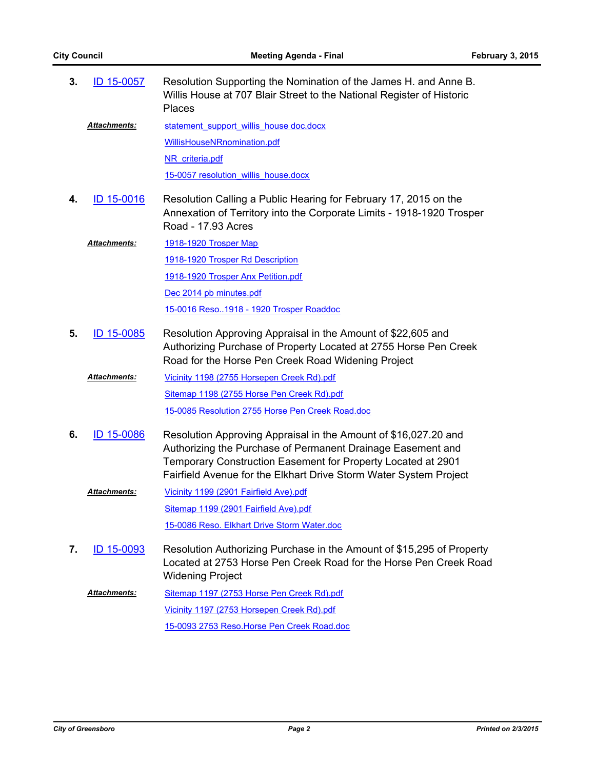| 3. | ID 15-0057          | Resolution Supporting the Nomination of the James H. and Anne B.<br>Willis House at 707 Blair Street to the National Register of Historic<br><b>Places</b>                                                                                                          |
|----|---------------------|---------------------------------------------------------------------------------------------------------------------------------------------------------------------------------------------------------------------------------------------------------------------|
|    | Attachments:        | statement support willis house doc.docx                                                                                                                                                                                                                             |
|    |                     | WillisHouseNRnomination.pdf                                                                                                                                                                                                                                         |
|    |                     | NR criteria.pdf                                                                                                                                                                                                                                                     |
|    |                     | 15-0057 resolution willis house.docx                                                                                                                                                                                                                                |
| 4. | ID 15-0016          | Resolution Calling a Public Hearing for February 17, 2015 on the<br>Annexation of Territory into the Corporate Limits - 1918-1920 Trosper<br>Road - 17.93 Acres                                                                                                     |
|    | Attachments:        | 1918-1920 Trosper Map                                                                                                                                                                                                                                               |
|    |                     | 1918-1920 Trosper Rd Description                                                                                                                                                                                                                                    |
|    |                     | 1918-1920 Trosper Anx Petition.pdf                                                                                                                                                                                                                                  |
|    |                     | Dec 2014 pb minutes.pdf                                                                                                                                                                                                                                             |
|    |                     | 15-0016 Reso1918 - 1920 Trosper Roaddoc                                                                                                                                                                                                                             |
| 5. | ID 15-0085          | Resolution Approving Appraisal in the Amount of \$22,605 and<br>Authorizing Purchase of Property Located at 2755 Horse Pen Creek<br>Road for the Horse Pen Creek Road Widening Project                                                                              |
|    | Attachments:        | Vicinity 1198 (2755 Horsepen Creek Rd).pdf                                                                                                                                                                                                                          |
|    |                     | Sitemap 1198 (2755 Horse Pen Creek Rd).pdf                                                                                                                                                                                                                          |
|    |                     | 15-0085 Resolution 2755 Horse Pen Creek Road.doc                                                                                                                                                                                                                    |
| 6. | <b>ID 15-0086</b>   | Resolution Approving Appraisal in the Amount of \$16,027.20 and<br>Authorizing the Purchase of Permanent Drainage Easement and<br>Temporary Construction Easement for Property Located at 2901<br>Fairfield Avenue for the Elkhart Drive Storm Water System Project |
|    | <b>Attachments:</b> | Vicinity 1199 (2901 Fairfield Ave).pdf                                                                                                                                                                                                                              |
|    |                     | Sitemap 1199 (2901 Fairfield Ave).pdf                                                                                                                                                                                                                               |
|    |                     | 15-0086 Reso. Elkhart Drive Storm Water.doc                                                                                                                                                                                                                         |
| 7. | ID 15-0093          | Resolution Authorizing Purchase in the Amount of \$15,295 of Property<br>Located at 2753 Horse Pen Creek Road for the Horse Pen Creek Road<br><b>Widening Project</b>                                                                                               |
|    | <b>Attachments:</b> | Sitemap 1197 (2753 Horse Pen Creek Rd).pdf                                                                                                                                                                                                                          |
|    |                     | Vicinity 1197 (2753 Horsepen Creek Rd).pdf                                                                                                                                                                                                                          |
|    |                     | 15-0093 2753 Reso.Horse Pen Creek Road.doc                                                                                                                                                                                                                          |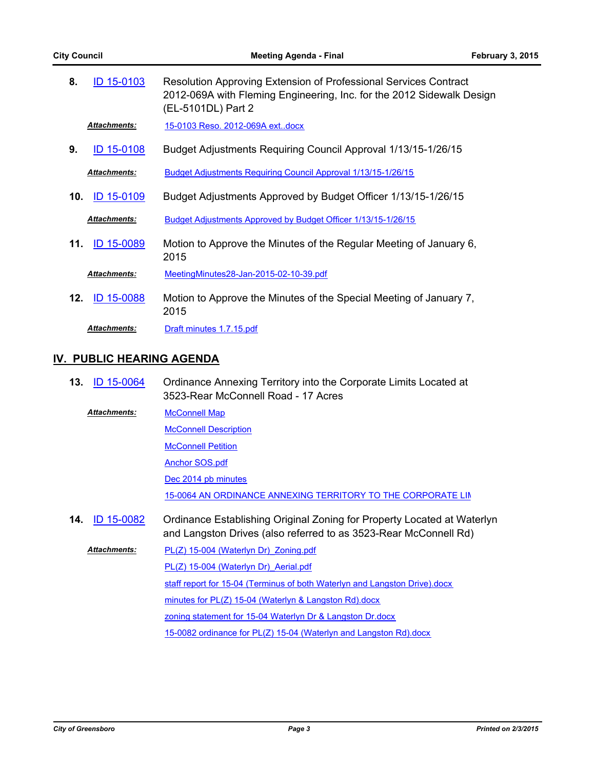| 8.  | ID 15-0103          | Resolution Approving Extension of Professional Services Contract<br>2012-069A with Fleming Engineering, Inc. for the 2012 Sidewalk Design<br>(EL-5101DL) Part 2 |
|-----|---------------------|-----------------------------------------------------------------------------------------------------------------------------------------------------------------|
|     | <b>Attachments:</b> | 15-0103 Reso. 2012-069A extdocx                                                                                                                                 |
| 9.  | <b>ID 15-0108</b>   | Budget Adjustments Requiring Council Approval 1/13/15-1/26/15                                                                                                   |
|     | <b>Attachments:</b> | Budget Adjustments Requiring Council Approval 1/13/15-1/26/15                                                                                                   |
| 10. | <b>ID 15-0109</b>   | Budget Adjustments Approved by Budget Officer 1/13/15-1/26/15                                                                                                   |
|     | <b>Attachments:</b> | Budget Adjustments Approved by Budget Officer 1/13/15-1/26/15                                                                                                   |
| 11. | ID 15-0089          | Motion to Approve the Minutes of the Regular Meeting of January 6,<br>2015                                                                                      |
|     | <b>Attachments:</b> | MeetingMinutes28-Jan-2015-02-10-39.pdf                                                                                                                          |
| 12. | ID 15-0088          | Motion to Approve the Minutes of the Special Meeting of January 7,<br>2015                                                                                      |
|     | <b>Attachments:</b> | Draft minutes 1.7.15.pdf                                                                                                                                        |

#### **IV. PUBLIC HEARING AGENDA**

Ordinance Annexing Territory into the Corporate Limits Located at 3523-Rear McConnell Road - 17 Acres **13.** [ID 15-0064](http://greensboro.legistar.com/gateway.aspx?m=l&id=/matter.aspx?key=1965)

[McConnell Map](http://greensboro.legistar.com/gateway.aspx?M=F&ID=25ee9d9d-6075-40d8-b3dc-d135972d5b9a.pdf) *Attachments:*

**[McConnell Description](http://greensboro.legistar.com/gateway.aspx?M=F&ID=7b23acc7-1df7-45f3-b1c7-7403ac7c13d9.docx)** 

**[McConnell Petition](http://greensboro.legistar.com/gateway.aspx?M=F&ID=ab181f9f-5dc2-45f9-ab02-cee736f7797e.pdf)** 

[Anchor SOS.pdf](http://greensboro.legistar.com/gateway.aspx?M=F&ID=3e1e9fb2-238b-4330-bcf8-95c51d7485c0.pdf)

[Dec 2014 pb minutes](http://greensboro.legistar.com/gateway.aspx?M=F&ID=5382efde-4b0f-48e6-b876-7650779a51fb.pdf)

15-0064 AN ORDINANCE ANNEXING TERRITORY TO THE CORPORATE LIN

Ordinance Establishing Original Zoning for Property Located at Waterlyn and Langston Drives (also referred to as 3523-Rear McConnell Rd) **14.** [ID 15-0082](http://greensboro.legistar.com/gateway.aspx?m=l&id=/matter.aspx?key=1983)

PL(Z) 15-004 (Waterlyn Dr) Zoning.pdf PL(Z) 15-004 (Waterlyn Dr) Aerial.pdf [staff report for 15-04 \(Terminus of both Waterlyn and Langston Drive\).docx](http://greensboro.legistar.com/gateway.aspx?M=F&ID=cd766448-818b-42cc-8a03-6ac711a31dd6.docx) [minutes for PL\(Z\) 15-04 \(Waterlyn & Langston Rd\).docx](http://greensboro.legistar.com/gateway.aspx?M=F&ID=56c86d0d-8ee7-4a65-b860-908291b04d94.docx) [zoning statement for 15-04 Waterlyn Dr & Langston Dr.docx](http://greensboro.legistar.com/gateway.aspx?M=F&ID=47965ec1-3e58-40e1-960a-6bd5bfc8397e.docx) *Attachments:*

[15-0082 ordinance for PL\(Z\) 15-04 \(Waterlyn and Langston Rd\).docx](http://greensboro.legistar.com/gateway.aspx?M=F&ID=61f07b0c-d727-460e-8bd5-9a53eb6fe107.docx)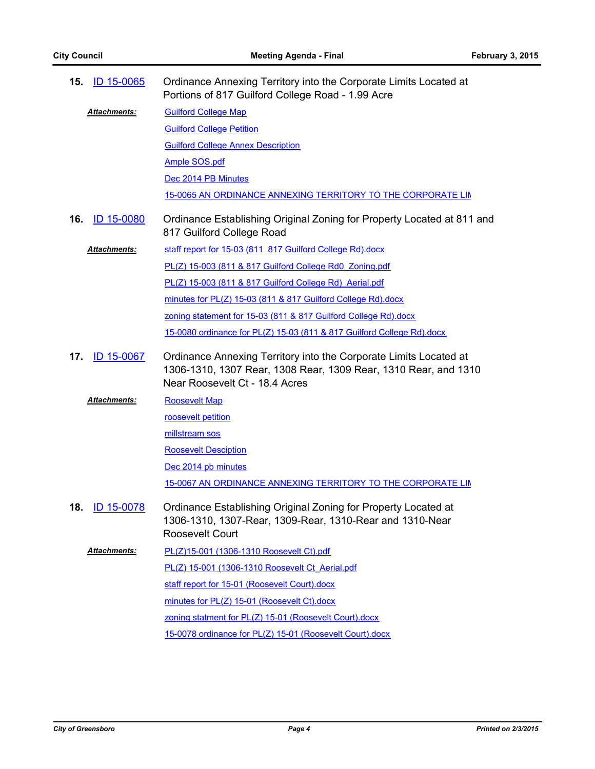| ID 15-0065<br>15.        | Ordinance Annexing Territory into the Corporate Limits Located at<br>Portions of 817 Guilford College Road - 1.99 Acre                                                 |
|--------------------------|------------------------------------------------------------------------------------------------------------------------------------------------------------------------|
| Attachments:             | <b>Guilford College Map</b>                                                                                                                                            |
|                          | <b>Guilford College Petition</b>                                                                                                                                       |
|                          | <b>Guilford College Annex Description</b>                                                                                                                              |
|                          | <b>Ample SOS.pdf</b>                                                                                                                                                   |
|                          | Dec 2014 PB Minutes                                                                                                                                                    |
|                          | 15-0065 AN ORDINANCE ANNEXING TERRITORY TO THE CORPORATE LIN                                                                                                           |
| <b>ID 15-0080</b><br>16. | Ordinance Establishing Original Zoning for Property Located at 811 and<br>817 Guilford College Road                                                                    |
| Attachments:             | staff report for 15-03 (811 817 Guilford College Rd).docx                                                                                                              |
|                          | PL(Z) 15-003 (811 & 817 Guilford College Rd0 Zoning.pdf                                                                                                                |
|                          | PL(Z) 15-003 (811 & 817 Guilford College Rd) Aerial.pdf                                                                                                                |
|                          | minutes for PL(Z) 15-03 (811 & 817 Guilford College Rd).docx                                                                                                           |
|                          | zoning statement for 15-03 (811 & 817 Guilford College Rd).docx                                                                                                        |
|                          | 15-0080 ordinance for PL(Z) 15-03 (811 & 817 Guilford College Rd).docx                                                                                                 |
| 17.<br><b>ID 15-0067</b> | Ordinance Annexing Territory into the Corporate Limits Located at<br>1306-1310, 1307 Rear, 1308 Rear, 1309 Rear, 1310 Rear, and 1310<br>Near Roosevelt Ct - 18.4 Acres |
| <b>Attachments:</b>      | <b>Roosevelt Map</b>                                                                                                                                                   |
|                          | roosevelt petition                                                                                                                                                     |
|                          | millstream sos                                                                                                                                                         |
|                          | <b>Roosevelt Desciption</b>                                                                                                                                            |
|                          | Dec 2014 pb minutes                                                                                                                                                    |
|                          | 15-0067 AN ORDINANCE ANNEXING TERRITORY TO THE CORPORATE LIN                                                                                                           |
| 18.<br>ID 15-0078        | Ordinance Establishing Original Zoning for Property Located at<br>1306-1310, 1307-Rear, 1309-Rear, 1310-Rear and 1310-Near<br>Roosevelt Court                          |
| <b>Attachments:</b>      | PL(Z)15-001 (1306-1310 Roosevelt Ct).pdf                                                                                                                               |
|                          | PL(Z) 15-001 (1306-1310 Roosevelt Ct Aerial.pdf                                                                                                                        |
|                          | staff report for 15-01 (Roosevelt Court).docx                                                                                                                          |
|                          | minutes for PL(Z) 15-01 (Roosevelt Ct).docx                                                                                                                            |
|                          | zoning statment for PL(Z) 15-01 (Roosevelt Court).docx                                                                                                                 |
|                          | 15-0078 ordinance for PL(Z) 15-01 (Roosevelt Court).docx                                                                                                               |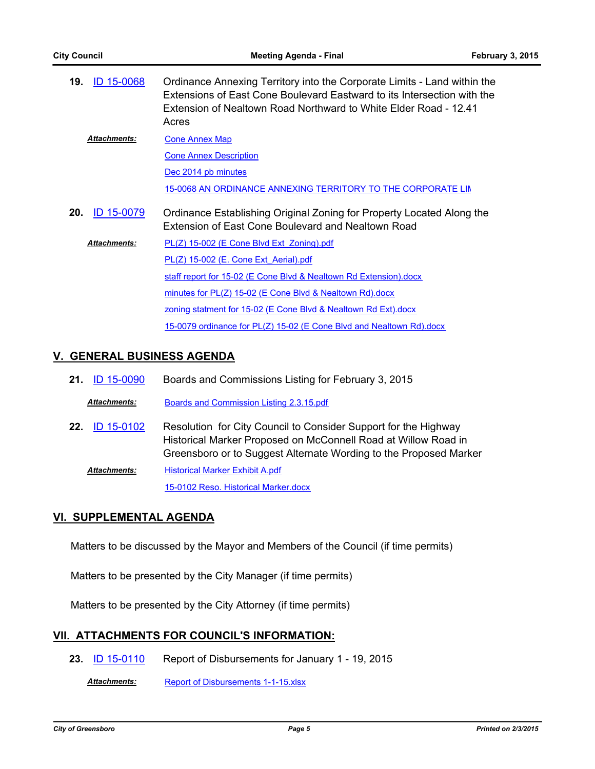| 19. | <b>ID 15-0068</b>   | Ordinance Annexing Territory into the Corporate Limits - Land within the<br>Extensions of East Cone Boulevard Eastward to its Intersection with the<br>Extension of Nealtown Road Northward to White Elder Road - 12.41<br>Acres |
|-----|---------------------|----------------------------------------------------------------------------------------------------------------------------------------------------------------------------------------------------------------------------------|
|     | <b>Attachments:</b> | <b>Cone Annex Map</b>                                                                                                                                                                                                            |
|     |                     | <b>Cone Annex Description</b>                                                                                                                                                                                                    |
|     |                     | Dec 2014 pb minutes                                                                                                                                                                                                              |
|     |                     | 15-0068 AN ORDINANCE ANNEXING TERRITORY TO THE CORPORATE LIN                                                                                                                                                                     |
| 20. | <b>ID 15-0079</b>   | Ordinance Establishing Original Zoning for Property Located Along the<br>Extension of East Cone Boulevard and Nealtown Road                                                                                                      |
|     | <b>Attachments:</b> | PL(Z) 15-002 (E Cone Blvd Ext Zoning).pdf                                                                                                                                                                                        |
|     |                     | PL(Z) 15-002 (E. Cone Ext Aerial).pdf                                                                                                                                                                                            |
|     |                     | staff report for 15-02 (E Cone Blvd & Nealtown Rd Extension).docx                                                                                                                                                                |
|     |                     | minutes for PL(Z) 15-02 (E Cone Blvd & Nealtown Rd).docx                                                                                                                                                                         |
|     |                     | zoning statment for 15-02 (E Cone Blvd & Nealtown Rd Ext).docx                                                                                                                                                                   |
|     |                     | 15-0079 ordinance for PL(Z) 15-02 (E Cone Blvd and Nealtown Rd).docx                                                                                                                                                             |

## **V. GENERAL BUSINESS AGENDA**

| 21. ID 15-0090 | Boards and Commissions Listing for February 3, 2015 |
|----------------|-----------------------------------------------------|
|                |                                                     |

*Attachments:* [Boards and Commission Listing 2.3.15.pdf](http://greensboro.legistar.com/gateway.aspx?M=F&ID=b2073999-3534-4406-867c-a79d424fd713.pdf)

Resolution for City Council to Consider Support for the Highway Historical Marker Proposed on McConnell Road at Willow Road in Greensboro or to Suggest Alternate Wording to the Proposed Marker **22.** [ID 15-0102](http://greensboro.legistar.com/gateway.aspx?m=l&id=/matter.aspx?key=2003) [Historical Marker Exhibit A.pdf](http://greensboro.legistar.com/gateway.aspx?M=F&ID=7e2cc96b-1d37-4075-a3fe-74f64cef14d3.pdf) [15-0102 Reso. Historical Marker.docx](http://greensboro.legistar.com/gateway.aspx?M=F&ID=3edf8ce1-fb23-433b-8bea-a12c3b88c6e9.docx) *Attachments:*

#### **VI. SUPPLEMENTAL AGENDA**

Matters to be discussed by the Mayor and Members of the Council (if time permits)

Matters to be presented by the City Manager (if time permits)

Matters to be presented by the City Attorney (if time permits)

#### **VII. ATTACHMENTS FOR COUNCIL'S INFORMATION:**

**23.** [ID 15-0110](http://greensboro.legistar.com/gateway.aspx?m=l&id=/matter.aspx?key=2010) Report of Disbursements for January 1 - 19, 2015

*Attachments:* [Report of Disbursements 1-1-15.xlsx](http://greensboro.legistar.com/gateway.aspx?M=F&ID=683d8056-98de-4e2d-8b6d-01ff5c8fdd4a.xlsx)